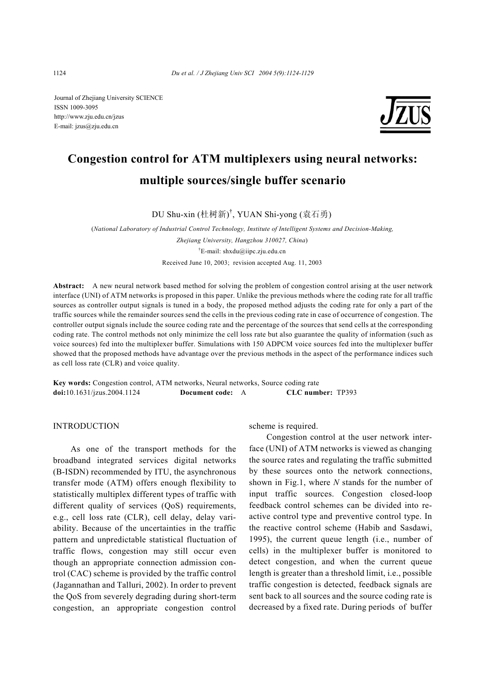Journal of Zhejiang University SCIENCE ISSN 1009-3095 http://www.zju.edu.cn/jzus E-mail: jzus@zju.edu.cn



# **Congestion control for ATM multiplexers using neural networks: multiple sources/single buffer scenario**

DU Shu-xin (杜树新) † , YUAN Shi-yong (袁石勇)

(*National Laboratory of Industrial Control Technology, Institute of Intelligent Systems and Decision-Making, Zhejiang University, Hangzhou 310027, China*) † E-mail: shxdu@iipc.zju.edu.cn Received June 10, 2003; revision accepted Aug. 11, 2003

**Abstract:** A new neural network based method for solving the problem of congestion control arising at the user network interface (UNI) of ATM networks is proposed in this paper. Unlike the previous methods where the coding rate for all traffic sources as controller output signals is tuned in a body, the proposed method adjusts the coding rate for only a part of the traffic sources while the remainder sources send the cells in the previous coding rate in case of occurrence of congestion. The controller output signals include the source coding rate and the percentage of the sources that send cells at the corresponding coding rate. The control methods not only minimize the cell loss rate but also guarantee the quality of information (such as voice sources) fed into the multiplexer buffer. Simulations with 150 ADPCM voice sources fed into the multiplexer buffer showed that the proposed methods have advantage over the previous methods in the aspect of the performance indices such as cell loss rate (CLR) and voice quality.

**Key words:** Congestion control, ATM networks, Neural networks, Source coding rate **doi:**10.1631/jzus.2004.1124 **Document code:** A **CLC number:** TP393

# INTRODUCTION

As one of the transport methods for the broadband integrated services digital networks (B-ISDN) recommended by ITU, the asynchronous transfer mode (ATM) offers enough flexibility to statistically multiplex different types of traffic with different quality of services (OoS) requirements, e.g., cell loss rate (CLR), cell delay, delay variability. Because of the uncertainties in the traffic pattern and unpredictable statistical fluctuation of traffic flows, congestion may still occur even though an appropriate connection admission control (CAC) scheme is provided by the traffic control (Jagannathan and Talluri, 2002). In order to prevent the QoS from severely degrading during short-term congestion, an appropriate congestion control

scheme is required.

Congestion control at the user network interface (UNI) of ATM networks is viewed as changing the source rates and regulating the traffic submitted by these sources onto the network connections, shown in Fig.1, where *N* stands for the number of input traffic sources. Congestion closed-loop feedback control schemes can be divided into reactive control type and preventive control type. In the reactive control scheme (Habib and Sasdawi, 1995), the current queue length (i.e., number of cells) in the multiplexer buffer is monitored to detect congestion, and when the current queue length is greater than a threshold limit, i.e., possible traffic congestion is detected, feedback signals are sent back to all sources and the source coding rate is decreased by a fixed rate. During periods of buffer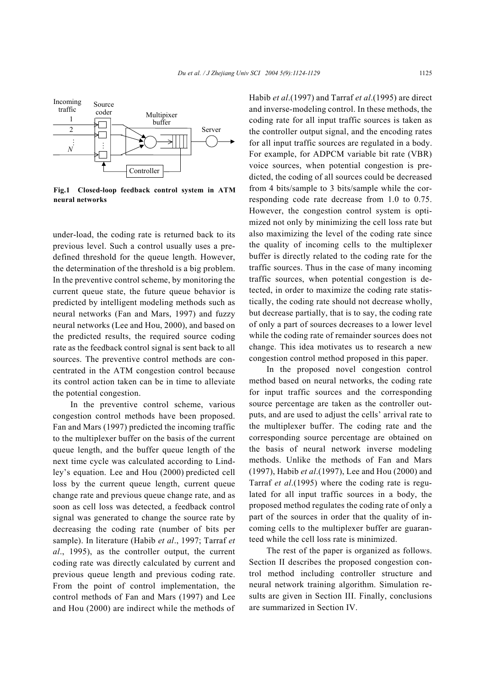

**Fig.1 Closed-loop feedback control system in ATM neural networks** 

under-load, the coding rate is returned back to its previous level. Such a control usually uses a predefined threshold for the queue length. However, the determination of the threshold is a big problem. In the preventive control scheme, by monitoring the current queue state, the future queue behavior is predicted by intelligent modeling methods such as neural networks (Fan and Mars, 1997) and fuzzy neural networks (Lee and Hou, 2000), and based on the predicted results, the required source coding rate as the feedback control signal is sent back to all sources. The preventive control methods are concentrated in the ATM congestion control because its control action taken can be in time to alleviate the potential congestion.

In the preventive control scheme, various congestion control methods have been proposed. Fan and Mars (1997) predicted the incoming traffic to the multiplexer buffer on the basis of the current queue length, and the buffer queue length of the next time cycle was calculated according to Lindley's equation. Lee and Hou (2000) predicted cell loss by the current queue length, current queue change rate and previous queue change rate, and as soon as cell loss was detected, a feedback control signal was generated to change the source rate by decreasing the coding rate (number of bits per sample). In literature (Habib *et al*., 1997; Tarraf *et al*., 1995), as the controller output, the current coding rate was directly calculated by current and previous queue length and previous coding rate. From the point of control implementation, the control methods of Fan and Mars (1997) and Lee and Hou (2000) are indirect while the methods of

Habib *et al*.(1997) and Tarraf *et al*.(1995) are direct and inverse-modeling control. In these methods, the coding rate for all input traffic sources is taken as the controller output signal, and the encoding rates for all input traffic sources are regulated in a body. For example, for ADPCM variable bit rate (VBR) voice sources, when potential congestion is predicted, the coding of all sources could be decreased from 4 bits/sample to 3 bits/sample while the corresponding code rate decrease from 1.0 to 0.75. However, the congestion control system is optimized not only by minimizing the cell loss rate but also maximizing the level of the coding rate since the quality of incoming cells to the multiplexer buffer is directly related to the coding rate for the traffic sources. Thus in the case of many incoming traffic sources, when potential congestion is detected, in order to maximize the coding rate statistically, the coding rate should not decrease wholly, but decrease partially, that is to say, the coding rate of only a part of sources decreases to a lower level while the coding rate of remainder sources does not change. This idea motivates us to research a new congestion control method proposed in this paper.

In the proposed novel congestion control method based on neural networks, the coding rate for input traffic sources and the corresponding source percentage are taken as the controller outputs, and are used to adjust the cells' arrival rate to the multiplexer buffer. The coding rate and the corresponding source percentage are obtained on the basis of neural network inverse modeling methods. Unlike the methods of Fan and Mars (1997), Habib *et al*.(1997), Lee and Hou (2000) and Tarraf *et al*.(1995) where the coding rate is regulated for all input traffic sources in a body, the proposed method regulates the coding rate of only a part of the sources in order that the quality of incoming cells to the multiplexer buffer are guaranteed while the cell loss rate is minimized.

The rest of the paper is organized as follows. Section II describes the proposed congestion control method including controller structure and neural network training algorithm. Simulation results are given in Section III. Finally, conclusions are summarized in Section IV.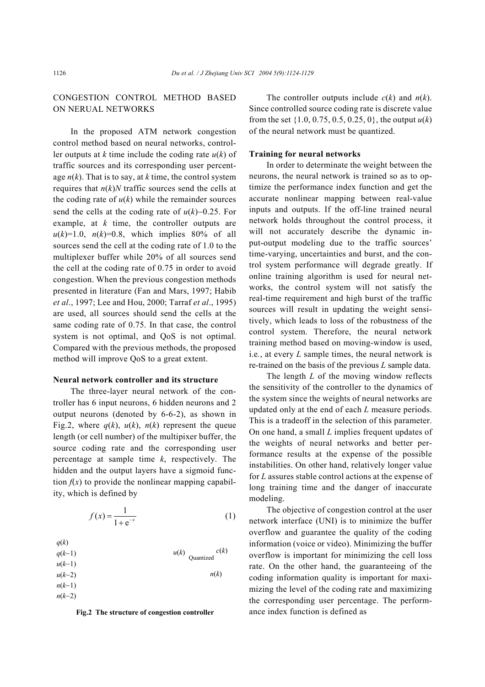# CONGESTION CONTROL METHOD BASED ON NERUAL NETWORKS

In the proposed ATM network congestion control method based on neural networks, controller outputs at *k* time include the coding rate *u*(*k*) of traffic sources and its corresponding user percentage  $n(k)$ . That is to say, at *k* time, the control system requires that  $n(k)N$  traffic sources send the cells at the coding rate of  $u(k)$  while the remainder sources send the cells at the coding rate of *u*(*k*)−0.25. For example, at *k* time, the controller outputs are  $u(k)=1.0$ ,  $n(k)=0.8$ , which implies 80% of all sources send the cell at the coding rate of 1.0 to the multiplexer buffer while 20% of all sources send the cell at the coding rate of 0.75 in order to avoid congestion. When the previous congestion methods presented in literature (Fan and Mars, 1997; Habib *et al*., 1997; Lee and Hou, 2000; Tarraf *et al*., 1995) are used, all sources should send the cells at the same coding rate of 0.75. In that case, the control system is not optimal, and QoS is not optimal. Compared with the previous methods, the proposed method will improve QoS to a great extent.

# **Neural network controller and its structure**

The three-layer neural network of the controller has 6 input neurons, 6 hidden neurons and 2 output neurons (denoted by 6-6-2), as shown in Fig.2, where  $q(k)$ ,  $u(k)$ ,  $n(k)$  represent the queue length (or cell number) of the multipixer buffer, the source coding rate and the corresponding user percentage at sample time *k*, respectively. The hidden and the output layers have a sigmoid function  $f(x)$  to provide the nonlinear mapping capability, which is defined by

$$
f(x) = \frac{1}{1 + e^{-x}}
$$
 (1)

*u*(*k*) Quantized *n*(*k*−2) *n*(*k*−1) *u*(*k*−2) *u*(*k*−1) *q*(*k*−1) *q*(*k*) *n*(*k*) *c*(*k*)



The controller outputs include  $c(k)$  and  $n(k)$ . Since controlled source coding rate is discrete value from the set {1.0, 0.75, 0.5, 0.25, 0}, the output *u*(*k*) of the neural network must be quantized.

#### **Training for neural networks**

In order to determinate the weight between the neurons, the neural network is trained so as to optimize the performance index function and get the accurate nonlinear mapping between real-value inputs and outputs. If the off-line trained neural network holds throughout the control process, it will not accurately describe the dynamic input-output modeling due to the traffic sources' time-varying, uncertainties and burst, and the control system performance will degrade greatly. If online training algorithm is used for neural networks, the control system will not satisfy the real-time requirement and high burst of the traffic sources will result in updating the weight sensitively, which leads to loss of the robustness of the control system. Therefore, the neural network training method based on moving-window is used, i.e*.*, at every *L* sample times, the neural network is re-trained on the basis of the previous *L* sample data.

The length *L* of the moving window reflects the sensitivity of the controller to the dynamics of the system since the weights of neural networks are updated only at the end of each *L* measure periods. This is a tradeoff in the selection of this parameter. On one hand, a small *L* implies frequent updates of the weights of neural networks and better performance results at the expense of the possible instabilities. On other hand, relatively longer value for *L* assures stable control actions at the expense of long training time and the danger of inaccurate modeling.

The objective of congestion control at the user network interface (UNI) is to minimize the buffer overflow and guarantee the quality of the coding information (voice or video). Minimizing the buffer overflow is important for minimizing the cell loss rate. On the other hand, the guaranteeing of the coding information quality is important for maximizing the level of the coding rate and maximizing the corresponding user percentage. The perform-Fig.2 The structure of congestion controller ance index function is defined as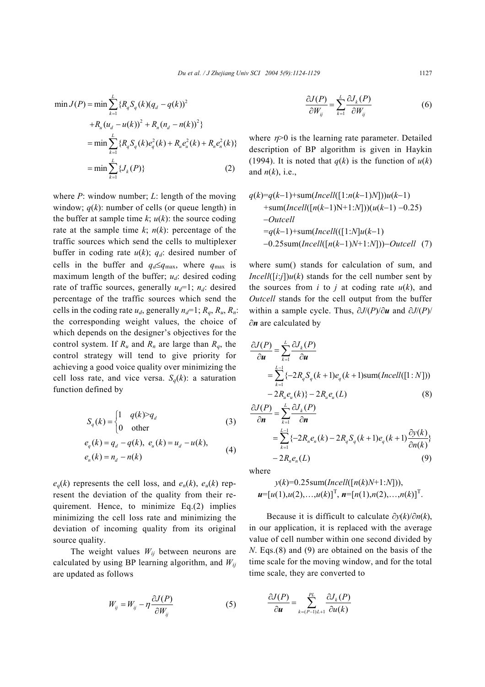$$
\min J(P) = \min \sum_{k=1}^{L} \{R_q S_q(k)(q_d - q(k))^2
$$
  
+ $R_u (u_d - u(k))^2$  +  $R_n (n_d - n(k))^2$ }  
= $\min \sum_{k=1}^{L} \{R_q S_q(k) e_q^2(k) + R_u e_u^2(k) + R_n e_n^2(k) \}$   
= $\min \sum_{k=1}^{L} \{J_k(P)\}$  (2)

where *P*: window number; *L*: length of the moving window;  $q(k)$ : number of cells (or queue length) in the buffer at sample time  $k$ ;  $u(k)$ : the source coding rate at the sample time  $k$ ;  $n(k)$ : percentage of the traffic sources which send the cells to multiplexer buffer in coding rate  $u(k)$ ;  $q_d$ : desired number of cells in the buffer and  $q_d \leq q_{\text{max}}$ , where  $q_{\text{max}}$  is maximum length of the buffer;  $u_d$ : desired coding rate of traffic sources, generally  $u_d=1$ ;  $n_d$ : desired percentage of the traffic sources which send the cells in the coding rate  $u_d$ , generally  $n_d=1$ ;  $R_a$ ,  $R_u$ ,  $R_u$ : the corresponding weight values, the choice of which depends on the designer's objectives for the control system. If  $R_u$  and  $R_n$  are large than  $R_q$ , the control strategy will tend to give priority for achieving a good voice quality over minimizing the cell loss rate, and vice versa.  $S_q(k)$ : a saturation function defined by

$$
S_q(k) = \begin{cases} 1 & q(k) > q_d \\ 0 & \text{other} \end{cases}
$$
 (3)

$$
e_q(k) = q_d - q(k), \ e_u(k) = u_d - u(k),
$$
  
\n
$$
e_n(k) = n_d - n(k)
$$
\n(4)

 $e_a(k)$  represents the cell loss, and  $e_n(k)$ ,  $e_u(k)$  represent the deviation of the quality from their requirement. Hence, to minimize Eq.(2) implies minimizing the cell loss rate and minimizing the deviation of incoming quality from its original source quality.

The weight values  $W_{ij}$  between neurons are calculated by using BP learning algorithm, and  $W_{ij}$ are updated as follows

$$
W_{ij} = W_{ij} - \eta \frac{\partial J(P)}{\partial W_{ij}} \tag{5}
$$

$$
\frac{\partial J(P)}{\partial W_{ij}} = \sum_{k=1}^{L} \frac{\partial J_k(P)}{\partial W_{ij}}
$$
(6)

where  $\eta$  > 0 is the learning rate parameter. Detailed description of BP algorithm is given in Haykin (1994). It is noted that  $q(k)$  is the function of  $u(k)$ and  $n(k)$ , i.e.,

$$
q(k)=q(k-1)+sum(Incell([1:n(k-1)N]))u(k-1)
$$
  
+sum(Incell([n(k-1)N+1:N]))(u(k-1) -0.25)  
-Outcell  
=q(k-1)+sum(Incell(([1:N]u(k-1)  
-0.25sum(Incell([n(k-1)N+1:N]))-Outcell (7)

where sum() stands for calculation of sum, and *Incell*( $[i:j]$ ) $u(k)$  stands for the cell number sent by the sources from *i* to *j* at coding rate  $u(k)$ , and *Outcell* stands for the cell output from the buffer within a sample cycle. Thus, ∂*J*/(*P*)/∂*u* and ∂*J*/(*P*)/ ∂*n* are calculated by

$$
\frac{\partial J(P)}{\partial \boldsymbol{u}} = \sum_{k=1}^{L} \frac{\partial J_k(P)}{\partial \boldsymbol{u}}
$$
  
= 
$$
\sum_{k=1}^{L-1} \{-2R_q S_q(k+1)e_q(k+1)\text{sum}(Incell([1:N]))
$$
  
- 
$$
2R_u e_u(k)\} - 2R_u e_u(L)
$$
 (8)

$$
\frac{\partial J(P)}{\partial n} = \sum_{k=1}^{L} \frac{\partial J_k(P)}{\partial n}
$$
  
= 
$$
\sum_{k=1}^{L-1} \{-2R_n e_n(k) - 2R_q S_q(k+1) e_q(k+1) \frac{\partial y(k)}{\partial n(k)}\}
$$
  
- 
$$
2R_n e_n(L)
$$
 (9)

where

$$
y(k)=0.25\text{sum}(Incell([n(k)N+1:N])),
$$
  

$$
\boldsymbol{u}=[u(1),u(2),...,u(k)]^{T}, \boldsymbol{n}=[n(1),n(2),...,n(k)]^{T}.
$$

Because it is difficult to calculate ∂*y*(*k*)/∂*n*(*k*), in our application, it is replaced with the average value of cell number within one second divided by *N*. Eqs.(8) and (9) are obtained on the basis of the time scale for the moving window, and for the total time scale, they are converted to

$$
\frac{\partial J(P)}{\partial \boldsymbol{u}} = \sum_{k=(P-1)L+1}^{PL} \frac{\partial J_k(P)}{\partial u(k)}
$$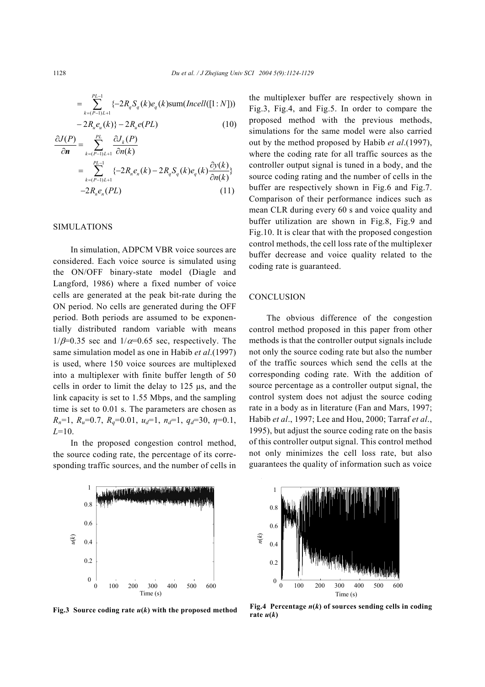$$
= \sum_{k=(P-1)L+1}^{PL-1} \{-2R_q S_q(k)e_q(k)\text{sum}(Incell([1:N]))
$$

$$
-2R_{u}e_{u}(k)\} - 2R_{u}e(PL) \tag{10}
$$

$$
\frac{\partial J(P)}{\partial \boldsymbol{n}} = \sum_{k=(P-1)L+1}^{PL} \frac{\partial J_k(P)}{\partial n(k)}
$$
  
= 
$$
\sum_{k=(P-1)L+1}^{PL-1} \{-2R_n e_n(k) - 2R_q S_q(k) e_q(k) \frac{\partial y(k)}{\partial n(k)}\}
$$
  
-2R<sub>n</sub>e<sub>n</sub>(PL) (11)

### SIMULATIONS

In simulation, ADPCM VBR voice sources are considered. Each voice source is simulated using the ON/OFF binary-state model (Diagle and Langford, 1986) where a fixed number of voice cells are generated at the peak bit-rate during the ON period. No cells are generated during the OFF period. Both periods are assumed to be exponentially distributed random variable with means  $1/\beta$ =0.35 sec and  $1/\alpha$ =0.65 sec, respectively. The same simulation model as one in Habib *et al*.(1997) is used, where 150 voice sources are multiplexed into a multiplexer with finite buffer length of 50 cells in order to limit the delay to 125 µs, and the link capacity is set to 1.55 Mbps, and the sampling time is set to 0.01 s. The parameters are chosen as  $R_n=1$ ,  $R_u=0.7$ ,  $R_d=0.01$ ,  $u_d=1$ ,  $n_d=1$ ,  $q_d=30$ ,  $n=0.1$ , *L*=10.

In the proposed congestion control method, the source coding rate, the percentage of its corresponding traffic sources, and the number of cells in the multiplexer buffer are respectively shown in Fig.3, Fig.4, and Fig.5. In order to compare the proposed method with the previous methods, simulations for the same model were also carried out by the method proposed by Habib *et al*.(1997), where the coding rate for all traffic sources as the controller output signal is tuned in a body, and the source coding rating and the number of cells in the buffer are respectively shown in Fig.6 and Fig.7. Comparison of their performance indices such as mean CLR during every 60 s and voice quality and buffer utilization are shown in Fig.8, Fig.9 and Fig.10. It is clear that with the proposed congestion control methods, the cell loss rate of the multiplexer buffer decrease and voice quality related to the coding rate is guaranteed.

## **CONCLUSION**

The obvious difference of the congestion control method proposed in this paper from other methods is that the controller output signals include not only the source coding rate but also the number of the traffic sources which send the cells at the corresponding coding rate. With the addition of source percentage as a controller output signal, the control system does not adjust the source coding rate in a body as in literature (Fan and Mars, 1997; Habib *et al*., 1997; Lee and Hou, 2000; Tarraf *et al*., 1995), but adjust the source coding rate on the basis of this controller output signal. This control method not only minimizes the cell loss rate, but also guarantees the quality of information such as voice



**Fig.3** Source coding rate  $u(k)$  with the proposed method



**Fig.4** Percentage  $n(k)$  of sources sending cells in coding rate  $u(k)$